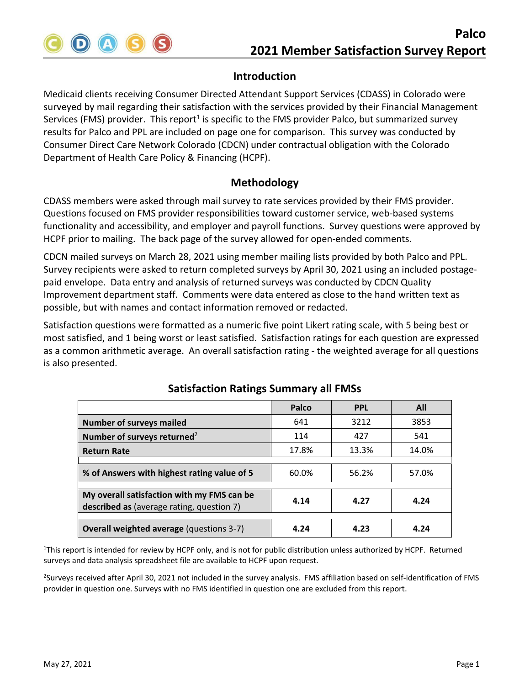

Medicaid clients receiving Consumer Directed Attendant Support Services (CDASS) in Colorado were surveyed by mail regarding their satisfaction with the services provided by their Financial Management Services (FMS) provider. This report<sup>1</sup> is specific to the FMS provider Palco, but summarized survey results for Palco and PPL are included on page one for comparison. This survey was conducted by Consumer Direct Care Network Colorado (CDCN) under contractual obligation with the Colorado Department of Health Care Policy & Financing (HCPF).

### **Methodology**

CDASS members were asked through mail survey to rate services provided by their FMS provider. Questions focused on FMS provider responsibilities toward customer service, web-based systems functionality and accessibility, and employer and payroll functions. Survey questions were approved by HCPF prior to mailing. The back page of the survey allowed for open-ended comments.

CDCN mailed surveys on March 28, 2021 using member mailing lists provided by both Palco and PPL. Survey recipients were asked to return completed surveys by April 30, 2021 using an included postage‐ paid envelope. Data entry and analysis of returned surveys was conducted by CDCN Quality Improvement department staff. Comments were data entered as close to the hand written text as possible, but with names and contact information removed or redacted.

Satisfaction questions were formatted as a numeric five point Likert rating scale, with 5 being best or most satisfied, and 1 being worst or least satisfied. Satisfaction ratings for each question are expressed as a common arithmetic average. An overall satisfaction rating ‐ the weighted average for all questions is also presented.

|                                                                                         | Palco | <b>PPL</b> | All   |
|-----------------------------------------------------------------------------------------|-------|------------|-------|
| <b>Number of surveys mailed</b>                                                         | 641   | 3212       | 3853  |
| Number of surveys returned <sup>2</sup>                                                 | 114   | 427        | 541   |
| <b>Return Rate</b>                                                                      | 17.8% | 13.3%      | 14.0% |
|                                                                                         |       |            |       |
| % of Answers with highest rating value of 5                                             | 60.0% | 56.2%      | 57.0% |
|                                                                                         |       |            |       |
| My overall satisfaction with my FMS can be<br>described as (average rating, question 7) | 4.14  | 4.27       | 4.24  |
|                                                                                         |       |            |       |
| <b>Overall weighted average (questions 3-7)</b>                                         | 4.24  | 4.23       | 4.24  |

# **Satisfaction Ratings Summary all FMSs**

<sup>1</sup>This report is intended for review by HCPF only, and is not for public distribution unless authorized by HCPF. Returned surveys and data analysis spreadsheet file are available to HCPF upon request.

<sup>2</sup>Surveys received after April 30, 2021 not included in the survey analysis. FMS affiliation based on self-identification of FMS provider in question one. Surveys with no FMS identified in question one are excluded from this report.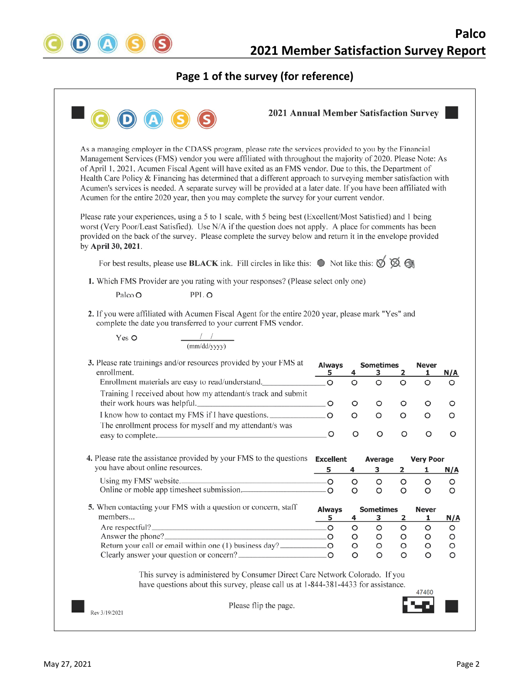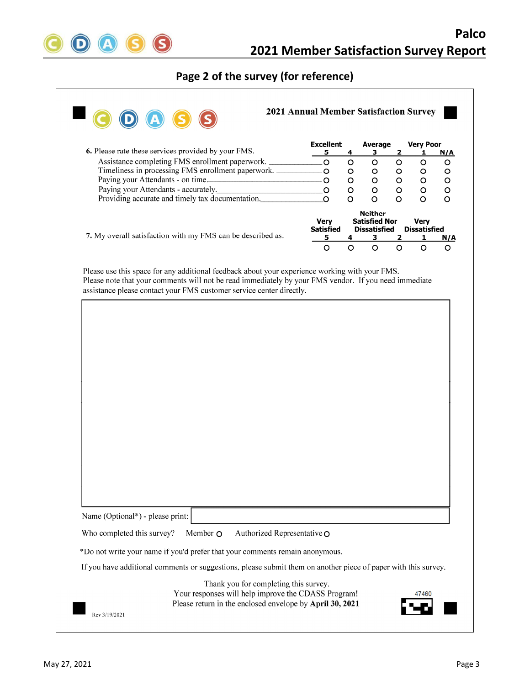

# **Page 2 of the survey (for reference)**

| 6. Please rate these services provided by your FMS.                                                                                                                                                                                                                                                                                                              | <b>Excellent</b><br>5           | 4            | Average<br>з                                                  | 2            | <b>Very Poor</b><br>1              | N/A                   |
|------------------------------------------------------------------------------------------------------------------------------------------------------------------------------------------------------------------------------------------------------------------------------------------------------------------------------------------------------------------|---------------------------------|--------------|---------------------------------------------------------------|--------------|------------------------------------|-----------------------|
| Assistance completing FMS enrollment paperwork.                                                                                                                                                                                                                                                                                                                  | $\overline{O}$                  | $\circ$      | $\circ$                                                       | $\circ$      | $\circ$                            | $\circ$               |
| Timeliness in processing FMS enrollment paperwork.                                                                                                                                                                                                                                                                                                               | $\overline{O}$                  | $\circ$      | $\mathbf O$                                                   | $\circ$      | $\circ$                            | O                     |
| Paying your Attendants - on time.                                                                                                                                                                                                                                                                                                                                | $\circ$                         | $\circ$      | $\circ$                                                       | $\circ$      | $\circ$                            | O                     |
| Paying your Attendants - accurately.                                                                                                                                                                                                                                                                                                                             | .O                              | $\circ$      | $\circ$                                                       | $\circ$      | $\circ$                            | $\circ$               |
| Providing accurate and timely tax documentation.                                                                                                                                                                                                                                                                                                                 | O                               | O            | $\circ$                                                       | O            | O                                  | O                     |
|                                                                                                                                                                                                                                                                                                                                                                  | <b>Very</b><br><b>Satisfied</b> |              | <b>Neither</b><br><b>Satisfied Nor</b><br><b>Dissatisfied</b> |              | <b>Very</b><br><b>Dissatisfied</b> |                       |
| 7. My overall satisfaction with my FMS can be described as:                                                                                                                                                                                                                                                                                                      | 5<br>$\circ$                    | 4<br>$\circ$ | 3<br>$\circ$                                                  | 2<br>$\circ$ | 1<br>$\circ$                       | <u>N/A</u><br>$\circ$ |
|                                                                                                                                                                                                                                                                                                                                                                  |                                 |              |                                                               |              |                                    |                       |
|                                                                                                                                                                                                                                                                                                                                                                  |                                 |              |                                                               |              |                                    |                       |
|                                                                                                                                                                                                                                                                                                                                                                  |                                 |              |                                                               |              |                                    |                       |
|                                                                                                                                                                                                                                                                                                                                                                  |                                 |              |                                                               |              |                                    |                       |
|                                                                                                                                                                                                                                                                                                                                                                  |                                 |              |                                                               |              |                                    |                       |
|                                                                                                                                                                                                                                                                                                                                                                  |                                 |              |                                                               |              |                                    |                       |
|                                                                                                                                                                                                                                                                                                                                                                  |                                 |              |                                                               |              |                                    |                       |
|                                                                                                                                                                                                                                                                                                                                                                  |                                 |              |                                                               |              |                                    |                       |
|                                                                                                                                                                                                                                                                                                                                                                  |                                 |              |                                                               |              |                                    |                       |
|                                                                                                                                                                                                                                                                                                                                                                  |                                 |              |                                                               |              |                                    |                       |
|                                                                                                                                                                                                                                                                                                                                                                  |                                 |              |                                                               |              |                                    |                       |
|                                                                                                                                                                                                                                                                                                                                                                  |                                 |              |                                                               |              |                                    |                       |
|                                                                                                                                                                                                                                                                                                                                                                  |                                 |              |                                                               |              |                                    |                       |
|                                                                                                                                                                                                                                                                                                                                                                  |                                 |              |                                                               |              |                                    |                       |
|                                                                                                                                                                                                                                                                                                                                                                  |                                 |              |                                                               |              |                                    |                       |
|                                                                                                                                                                                                                                                                                                                                                                  |                                 |              |                                                               |              |                                    |                       |
|                                                                                                                                                                                                                                                                                                                                                                  |                                 |              |                                                               |              |                                    |                       |
|                                                                                                                                                                                                                                                                                                                                                                  |                                 |              |                                                               |              |                                    |                       |
|                                                                                                                                                                                                                                                                                                                                                                  |                                 |              |                                                               |              |                                    |                       |
|                                                                                                                                                                                                                                                                                                                                                                  |                                 |              |                                                               |              |                                    |                       |
| Member O<br>Authorized Representative O                                                                                                                                                                                                                                                                                                                          |                                 |              |                                                               |              |                                    |                       |
|                                                                                                                                                                                                                                                                                                                                                                  |                                 |              |                                                               |              |                                    |                       |
|                                                                                                                                                                                                                                                                                                                                                                  |                                 |              |                                                               |              |                                    |                       |
| Name (Optional*) - please print:<br>Who completed this survey?<br>*Do not write your name if you'd prefer that your comments remain anonymous.<br>If you have additional comments or suggestions, please submit them on another piece of paper with this survey.<br>Thank you for completing this survey.<br>Your responses will help improve the CDASS Program! |                                 |              |                                                               |              |                                    |                       |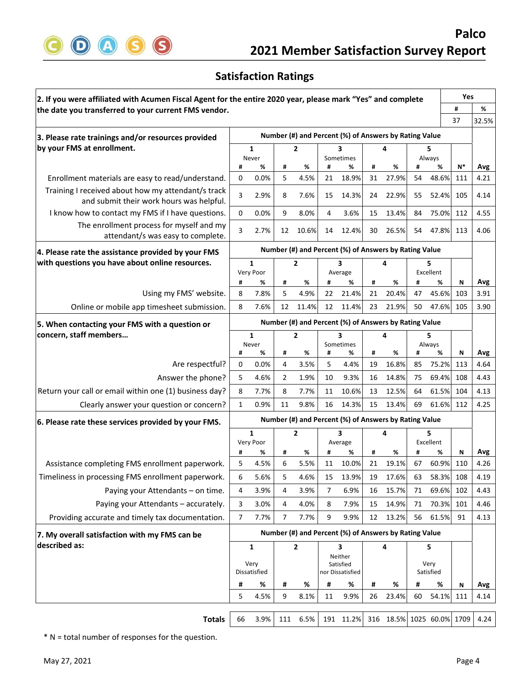

## **Satisfaction Ratings**

| 2. If you were affiliated with Acumen Fiscal Agent for the entire 2020 year, please mark "Yes" and complete |                          |                |                                  |                                                       |                      |                                                       |         |            |         |                | Yes      |             |
|-------------------------------------------------------------------------------------------------------------|--------------------------|----------------|----------------------------------|-------------------------------------------------------|----------------------|-------------------------------------------------------|---------|------------|---------|----------------|----------|-------------|
| the date you transferred to your current FMS vendor.                                                        |                          |                |                                  |                                                       |                      |                                                       |         |            |         |                | #        | %           |
|                                                                                                             |                          |                |                                  |                                                       |                      |                                                       |         |            |         |                | 37       | 32.5%       |
| 3. Please rate trainings and/or resources provided                                                          |                          |                |                                  |                                                       |                      | Number (#) and Percent (%) of Answers by Rating Value |         |            |         |                |          |             |
| by your FMS at enrollment.                                                                                  |                          | 1              | $\overline{2}$<br>3<br>Sometimes |                                                       |                      |                                                       |         |            | 5       |                |          |             |
|                                                                                                             | #                        | Never<br>%     | #                                | %                                                     | #                    | %                                                     | #       | %          | #       | Always<br>%    | $N^*$    | Avg         |
| Enrollment materials are easy to read/understand.                                                           | 0                        | 0.0%           | 5                                | 4.5%                                                  | 21                   | 18.9%                                                 | 31      | 27.9%      | 54      | 48.6%          | 111      | 4.21        |
| Training I received about how my attendant/s track                                                          | 3                        | 2.9%           | 8                                | 7.6%                                                  | 15                   | 14.3%                                                 | 24      | 22.9%      | 55      | 52.4%          | 105      | 4.14        |
| and submit their work hours was helpful.                                                                    |                          |                |                                  |                                                       |                      |                                                       |         |            |         |                |          |             |
| I know how to contact my FMS if I have questions.                                                           | 0                        | 0.0%           | 9                                | 8.0%                                                  | 4                    | 3.6%                                                  | 15      | 13.4%      | 84      | 75.0%          | 112      | 4.55        |
| The enrollment process for myself and my<br>attendant/s was easy to complete.                               | 3                        | 2.7%           | 12                               | 10.6%                                                 | 14                   | 12.4%                                                 | 30      | 26.5%      | 54      | 47.8%          | 113      | 4.06        |
| 4. Please rate the assistance provided by your FMS                                                          |                          |                |                                  | Number (#) and Percent (%) of Answers by Rating Value |                      |                                                       |         |            |         |                |          |             |
| with questions you have about online resources.                                                             | 1<br>$\overline{2}$<br>3 |                |                                  | 5                                                     |                      |                                                       |         |            |         |                |          |             |
|                                                                                                             |                          | Very Poor      |                                  |                                                       |                      | Average                                               |         |            |         | Excellent      |          |             |
|                                                                                                             | #                        | %              | #                                | %                                                     | #                    | %                                                     | #       | %          | #       | %              | Ν        | Avg         |
| Using my FMS' website.                                                                                      | 8                        | 7.8%           | 5                                | 4.9%                                                  | 22                   | 21.4%                                                 | 21      | 20.4%      | 47      | 45.6%          | 103      | 3.91        |
| Online or mobile app timesheet submission.                                                                  | 8                        | 7.6%           | 12                               | 11.4%                                                 | 12                   | 11.4%                                                 | 23      | 21.9%      | 50      | 47.6%          | 105      | 3.90        |
| 5. When contacting your FMS with a question or                                                              |                          |                |                                  |                                                       |                      | Number (#) and Percent (%) of Answers by Rating Value |         |            |         |                |          |             |
| concern, staff members                                                                                      |                          | 1<br>Never     |                                  | $\overline{2}$                                        |                      | 3<br>Sometimes                                        |         | 4          |         | 5<br>Always    |          |             |
|                                                                                                             | #                        | %              | #                                | %                                                     | #                    | %                                                     | #       | %          | #       | %              | N        | Avg         |
| Are respectful?                                                                                             | 0                        | 0.0%           | 4                                | 3.5%                                                  | 5                    | 4.4%                                                  | 19      | 16.8%      | 85      | 75.2%          | 113      | 4.64        |
| Answer the phone?                                                                                           | 5                        | 4.6%           | $\overline{2}$                   | 1.9%                                                  | 10                   | 9.3%                                                  | 16      | 14.8%      | 75      | 69.4%          | 108      | 4.43        |
| Return your call or email within one (1) business day?                                                      | 8                        | 7.7%           | 8                                | 7.7%                                                  | 11                   | 10.6%                                                 | 13      | 12.5%      | 64      | 61.5%          | 104      | 4.13        |
| Clearly answer your question or concern?                                                                    | 1                        | 0.9%           | 11                               | 9.8%                                                  | 16                   | 14.3%                                                 | 15      | 13.4%      | 69      | 61.6%          | 112      | 4.25        |
| 6. Please rate these services provided by your FMS.                                                         |                          |                |                                  |                                                       |                      | Number (#) and Percent (%) of Answers by Rating Value |         |            |         |                |          |             |
|                                                                                                             |                          | $\mathbf{1}$   |                                  | $\overline{2}$                                        | 3                    |                                                       | 4       |            | 5       |                |          |             |
|                                                                                                             | #                        | Very Poor<br>% | #                                | %                                                     | #                    | Average<br>%                                          | #       | %          | #       | Excellent<br>% | Ν        | Avg         |
| Assistance completing FMS enrollment paperwork.                                                             | 5                        | 4.5%           | 6                                | 5.5%                                                  | 11                   | 10.0%                                                 | 21      | 19.1%      | 67      | 60.9%          | 110      | 4.26        |
| Timeliness in processing FMS enrollment paperwork.                                                          | 6                        | 5.6%           | 5                                | 4.6%                                                  | 15                   | 13.9%                                                 | 19      | 17.6%      | 63      | 58.3%          | 108      | 4.19        |
| Paying your Attendants - on time.                                                                           | 4                        | 3.9%           | 4                                | 3.9%                                                  | $\overline{7}$       | 6.9%                                                  | 16      | 15.7%      | 71      | 69.6%          | 102      | 4.43        |
| Paying your Attendants - accurately.                                                                        | 3                        | 3.0%           | 4                                | 4.0%                                                  | 8                    | 7.9%                                                  | 15      | 14.9%      | 71      | 70.3%          | 101      | 4.46        |
| Providing accurate and timely tax documentation.                                                            | 7                        | 7.7%           | 7                                | 7.7%                                                  | 9                    | 9.9%                                                  | 12      | 13.2%      | 56      | 61.5%          | 91       | 4.13        |
| 7. My overall satisfaction with my FMS can be                                                               |                          |                |                                  |                                                       |                      | Number (#) and Percent (%) of Answers by Rating Value |         |            |         |                |          |             |
| described as:                                                                                               |                          | 1              |                                  | $\overline{2}$                                        |                      | 3                                                     |         | 4          |         | 5              |          |             |
|                                                                                                             | Very                     |                |                                  |                                                       | Neither<br>Satisfied |                                                       |         |            | Very    |                |          |             |
|                                                                                                             | Dissatisfied             |                |                                  |                                                       | nor Dissatisfied     |                                                       |         | Satisfied  |         |                |          |             |
|                                                                                                             | #<br>5                   | %<br>4.5%      | #<br>9                           | %<br>8.1%                                             | #<br>11              | %<br>9.9%                                             | #<br>26 | %<br>23.4% | #<br>60 | %<br>54.1%     | N<br>111 | Avg<br>4.14 |
|                                                                                                             |                          |                |                                  |                                                       |                      |                                                       |         |            |         |                |          |             |
| <b>Totals</b>                                                                                               | 66                       | 3.9%           |                                  | 111 6.5%                                              |                      | 191 11.2% 316 18.5% 1025 60.0% 1709                   |         |            |         |                |          | 4.24        |

\* N = total number of responses for the question.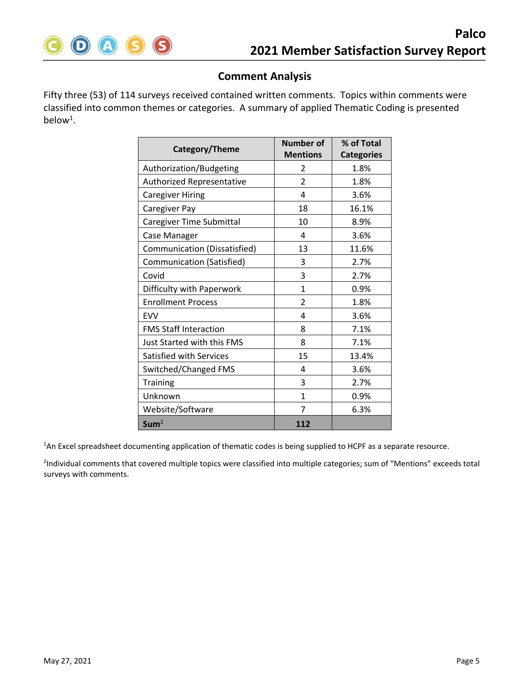

## **Comment Analysis**

Fifty three (53) of 114 surveys received contained written comments. Topics within comments were classified into common themes or categories. A summary of applied Thematic Coding is presented below<sup>1</sup>.

| Category/Theme                 | <b>Number of</b> | % of Total        |  |  |
|--------------------------------|------------------|-------------------|--|--|
|                                | <b>Mentions</b>  | <b>Categories</b> |  |  |
| Authorization/Budgeting        | 2                | 1.8%              |  |  |
| Authorized Representative      | $\overline{2}$   | 1.8%              |  |  |
| <b>Caregiver Hiring</b>        | 4                | 3.6%              |  |  |
| Caregiver Pay                  | 18               | 16.1%             |  |  |
| Caregiver Time Submittal       | 10               | 8.9%              |  |  |
| Case Manager                   | 4                | 3.6%              |  |  |
| Communication (Dissatisfied)   | 13               | 11.6%             |  |  |
| Communication (Satisfied)      | 3                | 2.7%              |  |  |
| Covid                          | 3                | 2.7%              |  |  |
| Difficulty with Paperwork      | $\mathbf{1}$     | 0.9%              |  |  |
| <b>Enrollment Process</b>      | $\overline{2}$   | 1.8%              |  |  |
| <b>EVV</b>                     | 4                | 3.6%              |  |  |
| <b>FMS Staff Interaction</b>   | 8                | 7.1%              |  |  |
| Just Started with this FMS     | 8                | 7.1%              |  |  |
| <b>Satisfied with Services</b> | 15               | 13.4%             |  |  |
| Switched/Changed FMS           | 4                | 3.6%              |  |  |
| Training                       | 3                | 2.7%              |  |  |
| Unknown                        | $\mathbf{1}$     | 0.9%              |  |  |
| Website/Software               | 7                | 6.3%              |  |  |
| Sum <sup>2</sup>               | 112              |                   |  |  |

<sup>1</sup>An Excel spreadsheet documenting application of thematic codes is being supplied to HCPF as a separate resource.

<sup>2</sup>Individual comments that covered multiple topics were classified into multiple categories; sum of "Mentions" exceeds total surveys with comments.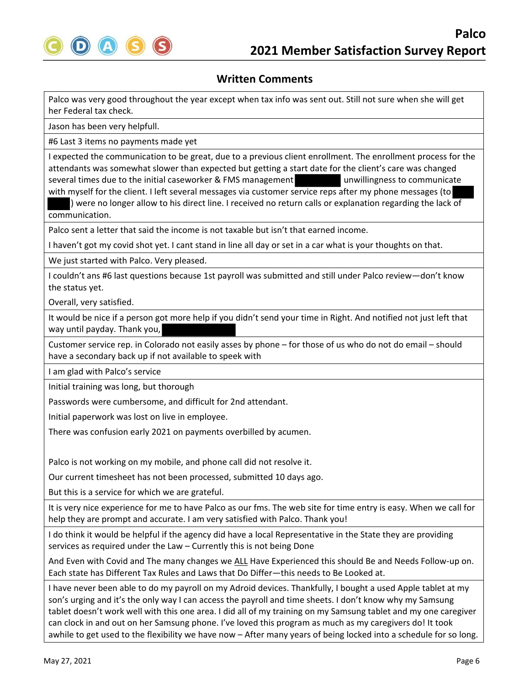

Palco was very good throughout the year except when tax info was sent out. Still not sure when she will get her Federal tax check.

Jason has been very helpfull.

#6 Last 3 items no payments made yet

I expected the communication to be great, due to a previous client enrollment. The enrollment process for the attendants was somewhat slower than expected but getting a start date for the client's care was changed several times due to the initial caseworker & FMS management unwillingness to communicate with myself for the client. I left several messages via customer service reps after my phone messages (to

) were no longer allow to his direct line. I received no return calls or explanation regarding the lack of communication.

Palco sent a letter that said the income is not taxable but isn't that earned income.

I haven't got my covid shot yet. I cant stand in line all day or set in a car what is your thoughts on that.

We just started with Palco. Very pleased.

I couldn't ans #6 last questions because 1st payroll was submitted and still under Palco review—don't know the status yet.

Overall, very satisfied.

It would be nice if a person got more help if you didn't send your time in Right. And notified not just left that way until payday. Thank you,

Customer service rep. in Colorado not easily asses by phone – for those of us who do not do email – should have a secondary back up if not available to speek with

I am glad with Palco's service

Initial training was long, but thorough

Passwords were cumbersome, and difficult for 2nd attendant.

Initial paperwork was lost on live in employee.

There was confusion early 2021 on payments overbilled by acumen.

Palco is not working on my mobile, and phone call did not resolve it.

Our current timesheet has not been processed, submitted 10 days ago.

But this is a service for which we are grateful.

It is very nice experience for me to have Palco as our fms. The web site for time entry is easy. When we call for help they are prompt and accurate. I am very satisfied with Palco. Thank you!

I do think it would be helpful if the agency did have a local Representative in the State they are providing services as required under the Law – Currently this is not being Done

And Even with Covid and The many changes we ALL Have Experienced this should Be and Needs Follow‐up on. Each state has Different Tax Rules and Laws that Do Differ—this needs to Be Looked at.

I have never been able to do my payroll on my Adroid devices. Thankfully, I bought a used Apple tablet at my son's urging and it's the only way I can access the payroll and time sheets. I don't know why my Samsung tablet doesn't work well with this one area. I did all of my training on my Samsung tablet and my one caregiver can clock in and out on her Samsung phone. I've loved this program as much as my caregivers do! It took awhile to get used to the flexibility we have now – After many years of being locked into a schedule for so long.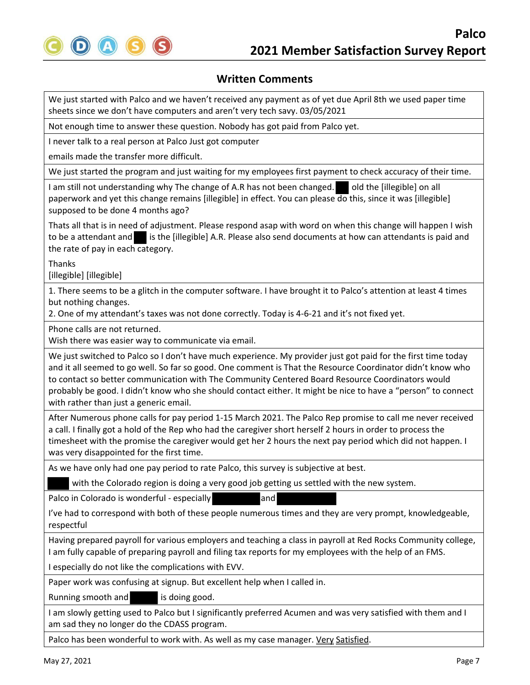

We just started with Palco and we haven't received any payment as of yet due April 8th we used paper time sheets since we don't have computers and aren't very tech savy. 03/05/2021

Not enough time to answer these question. Nobody has got paid from Palco yet.

I never talk to a real person at Palco Just got computer

emails made the transfer more difficult.

We just started the program and just waiting for my employees first payment to check accuracy of their time.

I am still not understanding why The change of A.R has not been changed. Qld the [illegible] on all paperwork and yet this change remains [illegible] in effect. You can please do this, since it was [illegible] supposed to be done 4 months ago?

Thats all that is in need of adjustment. Please respond asap with word on when this change will happen I wish to be a attendant and is the [illegible] A.R. Please also send documents at how can attendants is paid and the rate of pay in each category.

Thanks

[illegible] [illegible]

1. There seems to be a glitch in the computer software. I have brought it to Palco's attention at least 4 times but nothing changes.

2. One of my attendant's taxes was not done correctly. Today is 4‐6‐21 and it's not fixed yet.

Phone calls are not returned.

Wish there was easier way to communicate via email.

We just switched to Palco so I don't have much experience. My provider just got paid for the first time today and it all seemed to go well. So far so good. One comment is That the Resource Coordinator didn't know who to contact so better communication with The Community Centered Board Resource Coordinators would probably be good. I didn't know who she should contact either. It might be nice to have a "person" to connect with rather than just a generic email.

After Numerous phone calls for pay period 1‐15 March 2021. The Palco Rep promise to call me never received a call. I finally got a hold of the Rep who had the caregiver short herself 2 hours in order to process the timesheet with the promise the caregiver would get her 2 hours the next pay period which did not happen. I was very disappointed for the first time.

As we have only had one pay period to rate Palco, this survey is subjective at best.

with the Colorado region is doing a very good job getting us settled with the new system.

Palco in Colorado is wonderful - especially and

I've had to correspond with both of these people numerous times and they are very prompt, knowledgeable, respectful

Having prepared payroll for various employers and teaching a class in payroll at Red Rocks Community college, I am fully capable of preparing payroll and filing tax reports for my employees with the help of an FMS.

I especially do not like the complications with EVV.

Paper work was confusing at signup. But excellent help when I called in.

Running smooth and **interest is doing good.** 

I am slowly getting used to Palco but I significantly preferred Acumen and was very satisfied with them and I am sad they no longer do the CDASS program.

Palco has been wonderful to work with. As well as my case manager. Very Satisfied.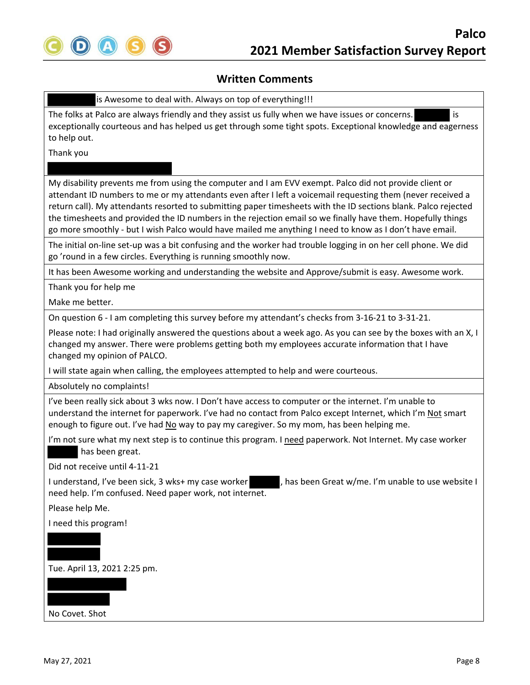

is Awesome to deal with. Always on top of everything!!!

The folks at Palco are always friendly and they assist us fully when we have issues or concerns. is exceptionally courteous and has helped us get through some tight spots. Exceptional knowledge and eagerness to help out.

Thank you

My disability prevents me from using the computer and I am EVV exempt. Palco did not provide client or attendant ID numbers to me or my attendants even after I left a voicemail requesting them (never received a return call). My attendants resorted to submitting paper timesheets with the ID sections blank. Palco rejected the timesheets and provided the ID numbers in the rejection email so we finally have them. Hopefully things go more smoothly ‐ but I wish Palco would have mailed me anything I need to know as I don't have email.

The initial on‐line set‐up was a bit confusing and the worker had trouble logging in on her cell phone. We did go 'round in a few circles. Everything is running smoothly now.

It has been Awesome working and understanding the website and Approve/submit is easy. Awesome work.

Thank you for help me

Make me better.

On question 6 ‐ I am completing this survey before my attendant's checks from 3‐16‐21 to 3‐31‐21.

Please note: I had originally answered the questions about a week ago. As you can see by the boxes with an X, I changed my answer. There were problems getting both my employees accurate information that I have changed my opinion of PALCO.

I will state again when calling, the employees attempted to help and were courteous.

Absolutely no complaints!

I've been really sick about 3 wks now. I Don't have access to computer or the internet. I'm unable to understand the internet for paperwork. I've had no contact from Palco except Internet, which I'm Not smart enough to figure out. I've had No way to pay my caregiver. So my mom, has been helping me.

I'm not sure what my next step is to continue this program. I need paperwork. Not Internet. My case worker has been great.

Did not receive until 4‐11‐21

I understand, I've been sick, 3 wks+ my case worker , has been Great w/me. I'm unable to use website I need help. I'm confused. Need paper work, not internet.

Please help Me.

I need this program!

Tue. April 13, 2021 2:25 pm.

No Covet. Shot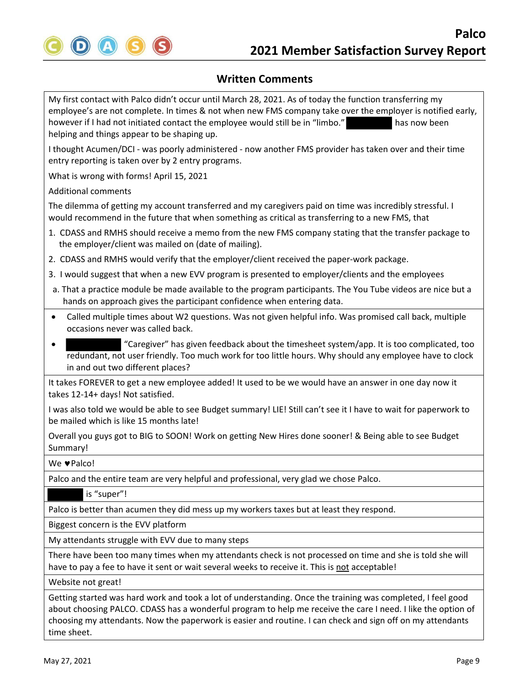

My first contact with Palco didn't occur until March 28, 2021. As of today the function transferring my employee's are not complete. In times & not when new FMS company take over the employer is notified early, however if I had not initiated contact the employee would still be in "limbo." has now been helping and things appear to be shaping up.

I thought Acumen/DCI ‐ was poorly administered ‐ now another FMS provider has taken over and their time entry reporting is taken over by 2 entry programs.

What is wrong with forms! April 15, 2021

Additional comments

The dilemma of getting my account transferred and my caregivers paid on time was incredibly stressful. I would recommend in the future that when something as critical as transferring to a new FMS, that

- 1. CDASS and RMHS should receive a memo from the new FMS company stating that the transfer package to the employer/client was mailed on (date of mailing).
- 2. CDASS and RMHS would verify that the employer/client received the paper‐work package.
- 3. I would suggest that when a new EVV program is presented to employer/clients and the employees
- a. That a practice module be made available to the program participants. The You Tube videos are nice but a hands on approach gives the participant confidence when entering data.
- Called multiple times about W2 questions. Was not given helpful info. Was promised call back, multiple occasions never was called back.
- "Caregiver" has given feedback about the timesheet system/app. It is too complicated, too redundant, not user friendly. Too much work for too little hours. Why should any employee have to clock in and out two different places?

It takes FOREVER to get a new employee added! It used to be we would have an answer in one day now it takes 12‐14+ days! Not satisfied.

I was also told we would be able to see Budget summary! LIE! Still can't see it I have to wait for paperwork to be mailed which is like 15 months late!

Overall you guys got to BIG to SOON! Work on getting New Hires done sooner! & Being able to see Budget Summary!

#### We **v**Palco!

Palco and the entire team are very helpful and professional, very glad we chose Palco.

#### is "super"!

Palco is better than acumen they did mess up my workers taxes but at least they respond.

Biggest concern is the EVV platform

My attendants struggle with EVV due to many steps

There have been too many times when my attendants check is not processed on time and she is told she will have to pay a fee to have it sent or wait several weeks to receive it. This is not acceptable!

Website not great!

Getting started was hard work and took a lot of understanding. Once the training was completed, I feel good about choosing PALCO. CDASS has a wonderful program to help me receive the care I need. I like the option of choosing my attendants. Now the paperwork is easier and routine. I can check and sign off on my attendants time sheet.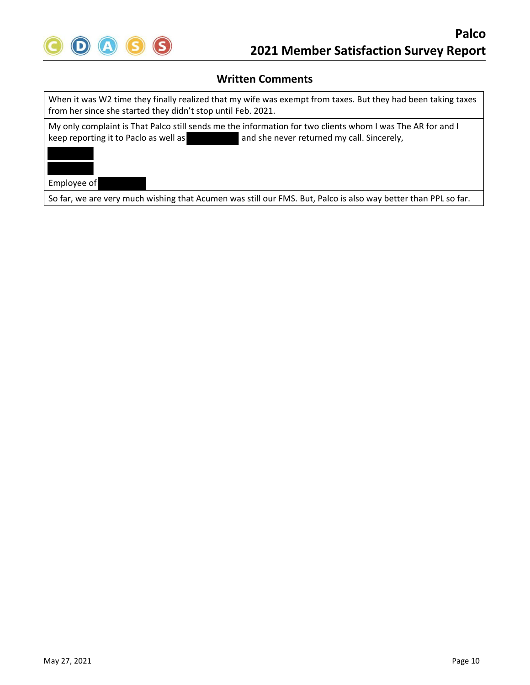

When it was W2 time they finally realized that my wife was exempt from taxes. But they had been taking taxes from her since she started they didn't stop until Feb. 2021.

My only complaint is That Palco still sends me the information for two clients whom I was The AR for and I keep reporting it to Paclo as well as and she never returned my call. Sincerely,



Employee of

So far, we are very much wishing that Acumen was still our FMS. But, Palco is also way better than PPL so far.